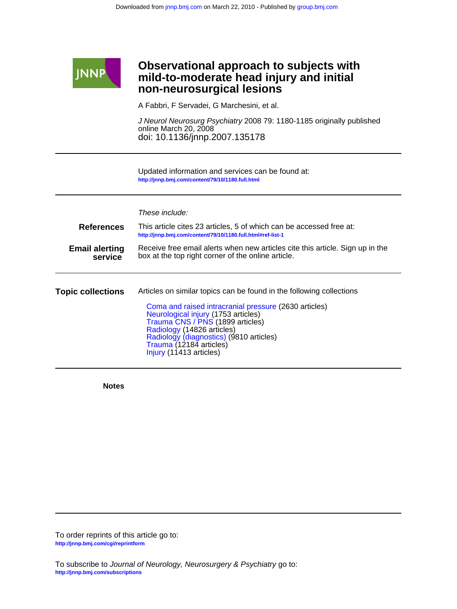

## **non-neurosurgical lesions mild-to-moderate head injury and initial Observational approach to subjects with**

A Fabbri, F Servadei, G Marchesini, et al.

doi: 10.1136/jnnp.2007.135178 online March 20, 2008 J Neurol Neurosurg Psychiatry 2008 79: 1180-1185 originally published

**<http://jnnp.bmj.com/content/79/10/1180.full.html>** Updated information and services can be found at:

## These include:

| <b>References</b><br>This article cites 23 articles, 5 of which can be accessed free at:<br>http://jnnp.bmj.com/content/79/10/1180.full.html#ref-list-1<br>Receive free email alerts when new articles cite this article. Sign up in the<br><b>Email alerting</b><br>box at the top right corner of the online article.<br>service |  |  |  |
|------------------------------------------------------------------------------------------------------------------------------------------------------------------------------------------------------------------------------------------------------------------------------------------------------------------------------------|--|--|--|
| Articles on similar topics can be found in the following collections<br>Coma and raised intracranial pressure (2630 articles)<br>Neurological injury (1753 articles)<br>Trauma CNS / PNS (1899 articles)<br>Radiology (14826 articles)<br>Radiology (diagnostics) (9810 articles)                                                  |  |  |  |
| Trauma (12184 articles)<br>Injury (11413 articles)                                                                                                                                                                                                                                                                                 |  |  |  |

**Notes**

**<http://jnnp.bmj.com/cgi/reprintform>** To order reprints of this article go to: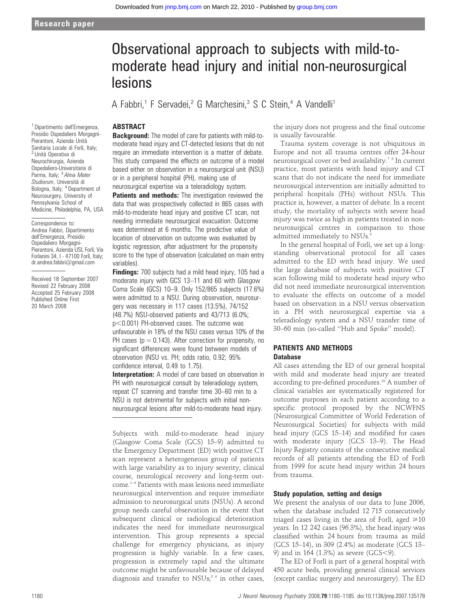# Observational approach to subjects with mild-tomoderate head injury and initial non-neurosurgical lesions

A Fabbri,<sup>1</sup> F Servadei,<sup>2</sup> G Marchesini,<sup>3</sup> S C Stein,<sup>4</sup> A Vandelli<sup>1</sup>

## ABSTRACT

**Background:** The model of care for patients with mild-tomoderate head injury and CT-detected lesions that do not require an immediate intervention is a matter of debate. This study compared the effects on outcome of a model based either on observation in a neurosurgical unit (NSU) or in a peripheral hospital (PH), making use of neurosurgical expertise via a teleradiology system.

Patients and methods: The investigation reviewed the data that was prospectively collected in 865 cases with mild-to-moderate head injury and positive CT scan, not needing immediate neurosurgical evacuation. Outcome was determined at 6 months. The predictive value of location of observation on outcome was evaluated by logistic regression, after adjustment for the propensity score to the type of observation (calculated on main entry variables).

Findings: 700 subjects had a mild head injury, 105 had a moderate injury with GCS 13–11 and 60 with Glasgow Coma Scale (GCS) 10–9. Only 152/865 subjects (17.6%) were admitted to a NSU. During observation, neurosurgery was necessary in 117 cases (13.5%), 74/152 (48.7%) NSU-observed patients and 43/713 (6.0%;  $p<0.001$ ) PH-observed cases. The outcome was unfavourable in 18% of the NSU cases versus 10% of the PH cases ( $p = 0.143$ ). After correction for propensity, no significant differences were found between models of observation (NSU vs. PH; odds ratio, 0.92; 95% confidence interval, 0.49 to 1.75).

Interpretation: A model of care based on observation in PH with neurosurgical consult by teleradiology system, repeat CT scanning and transfer time 30–60 min to a NSU is not detrimental for subjects with initial nonneurosurgical lesions after mild-to-moderate head injury.

Subjects with mild-to-moderate head injury (Glasgow Coma Scale (GCS) 15–9) admitted to the Emergency Department (ED) with positive CT scan represent a heterogeneous group of patients with large variability as to injury severity, clinical course, neurological recovery and long-term outcome.1–4 Patients with mass lesions need immediate neurosurgical intervention and require immediate admission to neurosurgical units (NSUs). A second group needs careful observation in the event that subsequent clinical or radiological deterioration indicates the need for immediate neurosurgical intervention. This group represents a special challenge for emergency physicians, as injury progression is highly variable. In a few cases, progression is extremely rapid and the ultimate outcome might be unfavourable because of delayed diagnosis and transfer to  $NSUs<sub>i</sub>$ <sup>56</sup> in other cases,

the injury does not progress and the final outcome is usually favourable.

Trauma system coverage is not ubiquitous in Europe and not all trauma centres offer 24-hour neurosurgical cover or bed availability.7 8 In current practice, most patients with head injury and CT scans that do not indicate the need for immediate neurosurgical intervention are initially admitted to peripheral hospitals (PHs) without NSUs. This practice is, however, a matter of debate. In a recent study, the mortality of subjects with severe head injury was twice as high in patients treated in nonneurosurgical centres in comparison to those admitted immediately to NSUs.<sup>9</sup>

In the general hospital of Forlì, we set up a longstanding observational protocol for all cases admitted to the ED with head injury. We used the large database of subjects with positive CT scan following mild to moderate head injury who did not need immediate neurosurgical intervention to evaluate the effects on outcome of a model based on observation in a NSU versus observation in a PH with neurosurgical expertise via a teleradiology system and a NSU transfer time of 30–60 min (so-called ''Hub and Spoke'' model).

## PATIENTS AND METHODS **Database**

All cases attending the ED of our general hospital with mild and moderate head injury are treated according to pre-defined procedures.<sup>10</sup> A number of clinical variables are systematically registered for outcome purposes in each patient according to a specific protocol proposed by the NCWFNS (Neurosurgical Committee of World Federation of Neurosurgical Societies) for subjects with mild head injury (GCS 15–14) and modified for cases with moderate injury (GCS 13–9). The Head Injury Registry consists of the consecutive medical records of all patients attending the ED of Forlı` from 1999 for acute head injury within 24 hours from trauma.

## Study population, setting and design

We present the analysis of our data to June 2006, when the database included 12 715 consecutively triaged cases living in the area of Forlì, aged  $\geq 10$ years. In 12 242 cases (96.3%), the head injury was classified within 24 hours from trauma as mild (GCS 15–14), in 309 (2.4%) as moderate (GCS 13– 9) and in 164 (1.3%) as severe (GCS<9).

The ED of Forlì is part of a general hospital with 450 acute beds, providing general clinical services (except cardiac surgery and neurosurgery). The ED

<sup>1</sup> Dipartimento dell'Emergenza, Presidio Ospedaliero Morgagni-Pierantoni, Azienda Unità Sanitaria Locale di Forlì, Italy;<br><sup>2</sup> Unità Operativa di Neurochirurgia, Azienda Ospedaliero-Universitaria di Parma, Italy; <sup>3</sup> Alma Mater Studiorum, Università di Bologna, Italy; <sup>4</sup> Department of Neurosurgery, University of Pennsylvania School of Medicine, Philadelphia, PA, USA

Correspondence to: Andrea Fabbri, Dipartimento dell'Emergenza, Presidio Ospedaliero Morgagni-Pierantoni, Azienda USL Forlì, Via Forlanini 34, I - 47100 Forlì, İtaly; dr.andrea.fabbri@gmail.com

Received 18 September 2007 Revised 22 February 2008 Accepted 25 February 2008 Published Online First 20 March 2008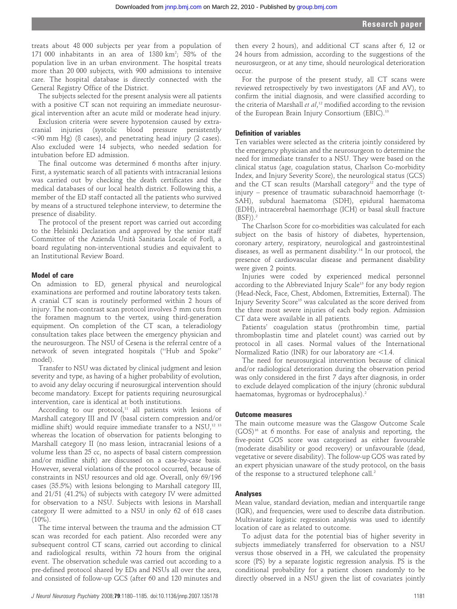treats about 48 000 subjects per year from a population of 171 000 inhabitants in an area of 1380  $km^2$ ; 58% of the population live in an urban environment. The hospital treats more than 20 000 subjects, with 900 admissions to intensive care. The hospital database is directly connected with the General Registry Office of the District.

The subjects selected for the present analysis were all patients with a positive CT scan not requiring an immediate neurosurgical intervention after an acute mild or moderate head injury.

Exclusion criteria were severe hypotension caused by extracranial injuries (systolic blood pressure persistently  $<$ 90 mm Hg) (8 cases), and penetrating head injury (2 cases). Also excluded were 14 subjects, who needed sedation for intubation before ED admission.

The final outcome was determined 6 months after injury. First, a systematic search of all patients with intracranial lesions was carried out by checking the death certificates and the medical databases of our local health district. Following this, a member of the ED staff contacted all the patients who survived by means of a structured telephone interview, to determine the presence of disability.

The protocol of the present report was carried out according to the Helsinki Declaration and approved by the senior staff Committee of the Azienda Unità Sanitaria Locale of Forlì, a board regulating non-interventional studies and equivalent to an Institutional Review Board.

## Model of care

On admission to ED, general physical and neurological examinations are performed and routine laboratory tests taken. A cranial CT scan is routinely performed within 2 hours of injury. The non-contrast scan protocol involves 5 mm cuts from the foramen magnum to the vertex, using third-generation equipment. On completion of the CT scan, a teleradiology consultation takes place between the emergency physician and the neurosurgeon. The NSU of Cesena is the referral centre of a network of seven integrated hospitals (''Hub and Spoke'' model).

Transfer to NSU was dictated by clinical judgment and lesion severity and type, as having of a higher probability of evolution, to avoid any delay occuring if neurosurgical intervention should become mandatory. Except for patients requiring neurosurgical intervention, care is identical at both institutions.

According to our protocol, $11$  all patients with lesions of Marshall category III and IV (basal cistern compression and/or midline shift) would require immediate transfer to a NSU,<sup>12 13</sup> whereas the location of observation for patients belonging to Marshall category II (no mass lesion, intracranial lesions of a volume less than 25 cc, no aspects of basal cistern compression and/or midline shift) are discussed on a case-by-case basis. However, several violations of the protocol occurred, because of constraints in NSU resources and old age. Overall, only 69/196 cases (35.5%) with lesions belonging to Marshall category III, and 21/51 (41.2%) of subjects with category IV were admitted for observation to a NSU. Subjects with lesions in Marshall category II were admitted to a NSU in only 62 of 618 cases  $(10\%)$ .

The time interval between the trauma and the admission CT scan was recorded for each patient. Also recorded were any subsequent control CT scans, carried out according to clinical and radiological results, within 72 hours from the original event. The observation schedule was carried out according to a pre-defined protocol shared by EDs and NSUs all over the area, and consisted of follow-up GCS (after 60 and 120 minutes and

then every 2 hours), and additional CT scans after 6, 12 or 24 hours from admission, according to the suggestions of the neurosurgeon, or at any time, should neurological deterioration occur.

For the purpose of the present study, all CT scans were reviewed retrospectively by two investigators (AF and AV), to confirm the initial diagnosis, and were classified according to the criteria of Marshall et  $al$ ,<sup>12</sup> modified according to the revision of the European Brain Injury Consortium (EBIC).<sup>13</sup>

## Definition of variables

Ten variables were selected as the criteria jointly considered by the emergency physician and the neurosurgeon to determine the need for immediate transfer to a NSU. They were based on the clinical status (age, coagulation status, Charlson Co-morbidity Index, and Injury Severity Score), the neurological status (GCS) and the CT scan results (Marshall category<sup>12</sup> and the type of injury – presence of traumatic subarachnoid haemorrhage (t-SAH), subdural haematoma (SDH), epidural haematoma (EDH), intracerebral haemorrhage (ICH) or basal skull fracture  $(BSF)$ ).<sup>2</sup>

The Charlson Score for co-morbidities was calculated for each subject on the basis of history of diabetes, hypertension, coronary artery, respiratory, neurological and gastrointestinal diseases, as well as permanent disability.14 In our protocol, the presence of cardiovascular disease and permanent disability were given 2 points.

Injuries were coded by experienced medical personnel according to the Abbreviated Injury Scale<sup>15</sup> for any body region (Head-Neck, Face, Chest, Abdomen, Extremities, External). The Injury Severity Score15 was calculated as the score derived from the three most severe injuries of each body region. Admission CT data were available in all patients.

Patients' coagulation status (prothrombin time, partial thromboplastin time and platelet count) was carried out by protocol in all cases. Normal values of the International Normalized Ratio (INR) for our laboratory are  $<$ 1.4.

The need for neurosurgical intervention because of clinical and/or radiological deterioration during the observation period was only considered in the first 7 days after diagnosis, in order to exclude delayed complication of the injury (chronic subdural haematomas, hygromas or hydrocephalus).<sup>2</sup>

## Outcome measures

The main outcome measure was the Glasgow Outcome Scale  $(GOS)^{16}$  at 6 months. For ease of analysis and reporting, the five-point GOS score was categorised as either favourable (moderate disability or good recovery) or unfavourable (dead, vegetative or severe disability). The follow-up GOS was rated by an expert physician unaware of the study protocol, on the basis of the response to a structured telephone call.<sup>2</sup>

#### Analyses

Mean value, standard deviation, median and interquartile range (IQR), and frequencies, were used to describe data distribution. Multivariate logistic regression analysis was used to identify location of care as related to outcome.

To adjust data for the potential bias of higher severity in subjects immediately transferred for observation to a NSU versus those observed in a PH, we calculated the propensity score (PS) by a separate logistic regression analysis. PS is the conditional probability for a patient chosen randomly to be directly observed in a NSU given the list of covariates jointly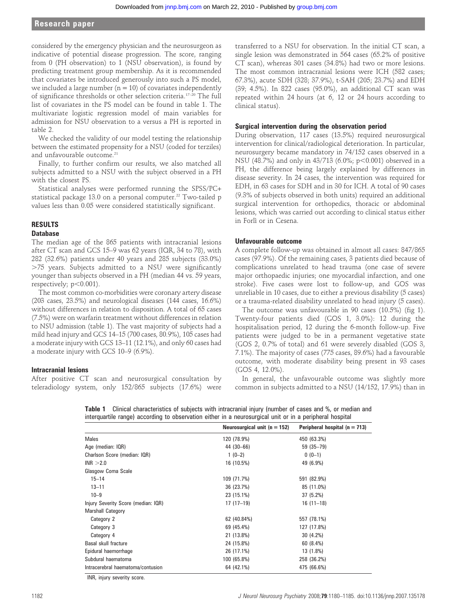## Research paper

considered by the emergency physician and the neurosurgeon as indicative of potential disease progression. The score, ranging from 0 (PH observation) to 1 (NSU observation), is found by predicting treatment group membership. As it is recommended that covariates be introduced generously into such a PS model, we included a large number ( $n = 10$ ) of covariates independently of significance thresholds or other selection criteria.17–20 The full list of covariates in the PS model can be found in table 1. The multivariate logistic regression model of main variables for admission for NSU observation to a versus a PH is reported in table 2.

We checked the validity of our model testing the relationship between the estimated propensity for a NSU (coded for terziles) and unfavourable outcome.<sup>21</sup>

Finally, to further confirm our results, we also matched all subjects admitted to a NSU with the subject observed in a PH with the closest PS.

Statistical analyses were performed running the SPSS/PC+ statistical package 13.0 on a personal computer.<sup>22</sup> Two-tailed p values less than 0.05 were considered statistically significant.

## RESULTS

## **Database**

The median age of the 865 patients with intracranial lesions after CT scan and GCS 15–9 was 62 years (IQR, 34 to 78), with 282 (32.6%) patients under 40 years and 285 subjects (33.0%) .75 years. Subjects admitted to a NSU were significantly younger than subjects observed in a PH (median 44 vs. 59 years, respectively; p<0.001).

The most common co-morbidities were coronary artery disease (203 cases, 23.5%) and neurological diseases (144 cases, 16.6%) without differences in relation to disposition. A total of 65 cases (7.5%) were on warfarin treatment without differences in relation to NSU admission (table 1). The vast majority of subjects had a mild head injury and GCS 14–15 (700 cases, 80.9%), 105 cases had a moderate injury with GCS 13–11 (12.1%), and only 60 cases had a moderate injury with GCS 10–9 (6.9%).

## Intracranial lesions

After positive CT scan and neurosurgical consultation by teleradiology system, only 152/865 subjects (17.6%) were

transferred to a NSU for observation. In the initial CT scan, a single lesion was demonstrated in 564 cases (65.2% of positive CT scan), whereas 301 cases (34.8%) had two or more lesions. The most common intracranial lesions were ICH (582 cases; 67.3%), acute SDH (328; 37.9%), t-SAH (205; 23.7%) and EDH (39; 4.5%). In 822 cases (95.0%), an additional CT scan was repeated within 24 hours (at 6, 12 or 24 hours according to clinical status).

## Surgical intervention during the observation period

During observation, 117 cases (13.5%) required neurosurgical intervention for clinical/radiological deterioration. In particular, neurosurgery became mandatory in 74/152 cases observed in a NSU (48.7%) and only in 43/713 (6.0%;  $p<0.001$ ) observed in a PH, the difference being largely explained by differences in disease severity. In 24 cases, the intervention was required for EDH, in 63 cases for SDH and in 30 for ICH. A total of 90 cases (9.3% of subjects observed in both units) required an additional surgical intervention for orthopedics, thoracic or abdominal lesions, which was carried out according to clinical status either in Forlì or in Cesena.

## Unfavourable outcome

A complete follow-up was obtained in almost all cases: 847/865 cases (97.9%). Of the remaining cases, 3 patients died because of complications unrelated to head trauma (one case of severe major orthopaedic injuries; one myocardial infarction, and one stroke). Five cases were lost to follow-up, and GOS was unreliable in 10 cases, due to either a previous disability (5 cases) or a trauma-related disability unrelated to head injury (5 cases).

The outcome was unfavourable in 90 cases (10.5%) (fig 1). Twenty-four patients died (GOS 1, 3.0%): 12 during the hospitalisation period, 12 during the 6-month follow-up. Five patients were judged to be in a permanent vegetative state (GOS 2, 0.7% of total) and 61 were severely disabled (GOS 3, 7.1%). The majority of cases (775 cases, 89.6%) had a favourable outcome, with moderate disability being present in 93 cases (GOS 4, 12.0%).

In general, the unfavourable outcome was slightly more common in subjects admitted to a NSU (14/152, 17.9%) than in

|                                     | intorquarulo rango) aoooranig to obsorvation olinor in a hoarosargioar anit or in a pomphorar hospital |                                   |  |  |
|-------------------------------------|--------------------------------------------------------------------------------------------------------|-----------------------------------|--|--|
|                                     | Neurosurgical unit ( $n = 152$ )                                                                       | Peripheral hospital ( $n = 713$ ) |  |  |
| <b>Males</b>                        | 120 (78.9%)                                                                                            | 450 (63.3%)                       |  |  |
| Age (median: IQR)                   | 44 (30 - 66)                                                                                           | $59(35-79)$                       |  |  |
| Charlson Score (median: IQR)        | $1(0-2)$                                                                                               | $0(0-1)$                          |  |  |
| INR > 2.0                           | 16 (10.5%)                                                                                             | 49 (6.9%)                         |  |  |
| Glasgow Coma Scale                  |                                                                                                        |                                   |  |  |
| $15 - 14$                           | 109 (71.7%)                                                                                            | 591 (82.9%)                       |  |  |
| $13 - 11$                           | 36 (23.7%)                                                                                             | 85 (11.0%)                        |  |  |
| $10 - 9$                            | 23 (15.1%)                                                                                             | 37 (5.2%)                         |  |  |
| Injury Severity Score (median: IQR) | $17(17-19)$                                                                                            | $16(11-18)$                       |  |  |
| <b>Marshall Category</b>            |                                                                                                        |                                   |  |  |
| Category 2                          | 62 (40.84%)                                                                                            | 557 (78.1%)                       |  |  |
| Category 3                          | 69 (45.4%)                                                                                             | 127 (17.8%)                       |  |  |
| Category 4                          | 21 (13.8%)                                                                                             | 30 (4.2%)                         |  |  |
| Basal skull fracture                | 24 (15.8%)                                                                                             | 60(8.4%)                          |  |  |
| Epidural haemorrhage                | 26 (17.1%)                                                                                             | 13 (1.8%)                         |  |  |
| Subdural haematoma                  | 100 (65.8%)                                                                                            | 258 (36.2%)                       |  |  |
| Intracerebral haematoma/contusion   | 64 (42.1%)                                                                                             | 475 (66.6%)                       |  |  |

Table 1 Clinical characteristics of subjects with intracranial injury (number of cases and %, or median and interquartile range) according to observation either in a neurosurgical unit or in a peripheral hospital

INR, injury severity score.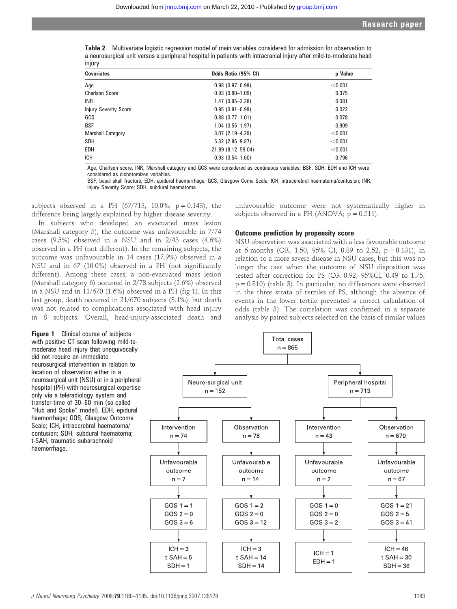|        | <b>Table 2</b> Multivariate logistic regression model of main variables considered for admission for observation to |
|--------|---------------------------------------------------------------------------------------------------------------------|
|        | a neurosurgical unit versus a peripheral hospital in patients with intracranial injury after mild-to-moderate head  |
| injury |                                                                                                                     |

| <b>Covariates</b>            | Odds Ratio (95% CI) | p Value |  |
|------------------------------|---------------------|---------|--|
| Age                          | $0.98(0.97 - 0.99)$ | < 0.001 |  |
| <b>Charlson Score</b>        | $0.93(0.80 - 1.09)$ | 0.375   |  |
| <b>INR</b>                   | $1.47(0.95 - 2.28)$ | 0.081   |  |
| <b>Injury Severity Score</b> | $0.95(0.91 - 0.99)$ | 0.022   |  |
| GCS                          | $0.88$ (0.77-1.01)  | 0.078   |  |
| <b>BSF</b>                   | $1.04(0.55 - 1.97)$ | 0.909   |  |
| Marshall Category            | $3.07(2.19 - 4.29)$ | < 0.001 |  |
| <b>SDH</b>                   | $5.32$ (2.86-9.87)  | < 0.001 |  |
| EDH                          | 21.89 (8.12-59.04)  | < 0.001 |  |
| <b>ICH</b>                   | $0.93(0.54 - 1.60)$ | 0.796   |  |

Age, Charlson score, INR, Marshall category and GCS were considered as continuous variables; BSF, SDH, EDH and ICH were considered as dichotomized variables.

BSF, basal skull fracture; EDH, epidural haemorrhage; GCS, Glasgow Coma Scale; ICH, intracerebral haematoma/contusion; INR, Injury Severity Score; SDH, subdural haematoma.

subjects observed in a PH  $(67/713, 10.0\%; p = 0.143)$ , the difference being largely explained by higher disease severity.

In subjects who developed an evacuated mass lesion (Marshall category 5), the outcome was unfavourable in 7/74 cases (9.5%) observed in a NSU and in 2/43 cases (4.6%) observed in a PH (not different). In the remaining subjects, the outcome was unfavourable in 14 cases (17.9%) observed in a NSU and in 67 (10.0%) observed in a PH (not significantly different). Among these cases, a non-evacuated mass lesion (Marshall category 6) occurred in 2/78 subjects (2.6%) observed in a NSU and in 11/670 (1.6%) observed in a PH (fig 1). In this last group, death occurred in 21/670 subjects (3.1%), but death was not related to complications associated with head injury in 8 subjects. Overall, head-injury-associated death and

unfavourable outcome were not systematically higher in subjects observed in a PH (ANOVA;  $p = 0.511$ ).

## Outcome prediction by propensity score

NSU observation was associated with a less favourable outcome at 6 months (OR, 1.50; 95% CI, 0.89 to 2.52;  $p = 0.131$ ), in relation to a more severe disease in NSU cases, but this was no longer the case when the outcome of NSU disposition was tested after correction for PS (OR 0.92; 95%CI, 0.49 to 1.75; p = 0.810) (table 3). In particular, no differences were observed in the three strata of terziles of PS, although the absence of events in the lower tertile prevented a correct calculation of odds (table 3). The correlation was confirmed in a separate analysis by paired subjects selected on the basis of similar values

Figure 1 Clinical course of subjects with positive CT scan following mild-tomoderate head injury that unequivocally did not require an immediate neurosurgical intervention in relation to location of observation either in a neurosurgical unit (NSU) or in a peripheral hospital (PH) with neurosurgical expertise only via a teleradiology system and transfer-time of 30–60 min (so-called "Hub and Spoke" model). EDH, epidural haemorrhage; GOS, Glasgow Outcome Scale; ICH, intracerebral haematoma/ contusion; SDH, subdural haematoma; t-SAH, traumatic subarachnoid haemorrhage.

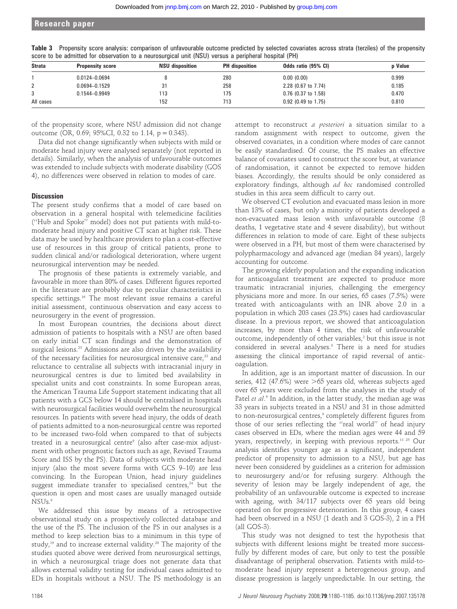| abord to be admitted for oboor ration to a hourboargiour anne freedy roibad a pomphoral hoopiear fr rif |                         |                        |                       |                       |                |  |  |
|---------------------------------------------------------------------------------------------------------|-------------------------|------------------------|-----------------------|-----------------------|----------------|--|--|
| <b>Strata</b>                                                                                           | <b>Propensity score</b> | <b>NSU</b> disposition | <b>PH</b> disposition | Odds ratio (95% CI)   | <b>p</b> Value |  |  |
|                                                                                                         | $0.0124 - 0.0694$       |                        | 280                   | 0.00(0.00)            | 0.999          |  |  |
|                                                                                                         | 0.0694-0.1529           |                        | 258                   | 2.28 (0.67 to 7.74)   | 0.185          |  |  |
|                                                                                                         | $0.1544 - 0.9949$       | 113                    | 175                   | $0.76$ (0.37 to 1.58) | 0.470          |  |  |
| All cases                                                                                               |                         | 152                    | 713                   | $0.92$ (0.49 to 1.75) | 0.810          |  |  |

Table 3 Propensity score analysis: comparison of unfavourable outcome predicted by selected covariates across strata (terziles) of the propensity score to be admitted for observation to a neurosurgical unit (NSU) versus a peripheral hospital (PH)

of the propensity score, where NSU admission did not change outcome (OR, 0.69; 95%CI, 0.32 to 1.14,  $p = 0.343$ ).

Data did not change significantly when subjects with mild or moderate head injury were analysed separately (not reported in details). Similarly, when the analysis of unfavourable outcomes was extended to include subjects with moderate disability (GOS 4), no differences were observed in relation to modes of care.

## **Discussion**

The present study confirms that a model of care based on observation in a general hospital with telemedicine facilities (''Hub and Spoke'' model) does not put patients with mild-tomoderate head injury and positive CT scan at higher risk. These data may be used by healthcare providers to plan a cost-effective use of resources in this group of critical patients, prone to sudden clinical and/or radiological deterioration, where urgent neurosurgical intervention may be needed.

The prognosis of these patients is extremely variable, and favourable in more than 80% of cases. Different figures reported in the literature are probably due to peculiar characteristics in specific settings.<sup>16</sup> The most relevant issue remains a careful initial assessment, continuous observation and easy access to neurosurgery in the event of progression.

In most European countries, the decisions about direct admission of patients to hospitals with a NSU are often based on early initial CT scan findings and the demonstration of surgical lesions.<sup>23</sup> Admissions are also driven by the availability of the necessary facilities for neurosurgical intensive care,<sup>23</sup> and reluctance to centralise all subjects with intracranial injury in neurosurgical centres is due to limited bed availability in specialist units and cost constraints. In some European areas, the American Trauma Life Support statement indicating that all patients with a GCS below 14 should be centralised in hospitals with neurosurgical facilities would overwhelm the neurosurgical resources. In patients with severe head injury, the odds of death of patients admitted to a non-neurosurgical centre was reported to be increased two-fold when compared to that of subjects treated in a neurosurgical centre<sup>9</sup> (also after case-mix adjustment with other prognostic factors such as age, Revised Trauma Score and ISS by the PS). Data of subjects with moderate head injury (also the most severe forms with GCS 9–10) are less convincing. In the European Union, head injury guidelines suggest immediate transfer to specialised centres, $24$  but the question is open and most cases are usually managed outside NSU<sub>s.9</sub>

We addressed this issue by means of a retrospective observational study on a prospectively collected database and the use of the PS. The inclusion of the PS in our analyses is a method to keep selection bias to a minimum in this type of study,<sup>19</sup> and to increase external validity.<sup>20</sup> The majority of the studies quoted above were derived from neurosurgical settings, in which a neurosurgical triage does not generate data that allows external validity testing for individual cases admitted to EDs in hospitals without a NSU. The PS methodology is an

attempt to reconstruct a posteriori a situation similar to a random assignment with respect to outcome, given the observed covariates, in a condition where modes of care cannot be easily standardised. Of course, the PS makes an effective balance of covariates used to construct the score but, at variance of randomisation, it cannot be expected to remove hidden biases. Accordingly, the results should be only considered as exploratory findings, although ad hoc randomised controlled studies in this area seem difficult to carry out.

We observed CT evolution and evacuated mass lesion in more than 13% of cases, but only a minority of patients developed a non-evacuated mass lesion with unfavourable outcome (8 deaths, 1 vegetative state and 4 severe disability), but without differences in relation to mode of care. Eight of these subjects were observed in a PH, but most of them were characterised by polypharmacology and advanced age (median 84 years), largely accounting for outcome.

The growing elderly population and the expanding indication for anticoagulant treatment are expected to produce more traumatic intracranial injuries, challenging the emergency physicians more and more. In our series, 65 cases (7.5%) were treated with anticoagulants with an INR above 2.0 in a population in which 203 cases (23.5%) cases had cardiovascular disease. In a previous report, we showed that anticoagulation increases, by more than 4 times, the risk of unfavourable outcome, independently of other variables,2 but this issue is not considered in several analyses.9 There is a need for studies assessing the clinical importance of rapid reversal of anticoagulation.

In addition, age is an important matter of discussion. In our series, 412 (47.6%) were  $>65$  years old, whereas subjects aged over 65 years were excluded from the analyses in the study of Patel et al.<sup>9</sup> In addition, in the latter study, the median age was 33 years in subjects treated in a NSU and 31 in those admitted to non-neurosurgical centres,<sup>9</sup> completely different figures from those of our series reflecting the ''real world'' of head injury cases observed in EDs, where the median ages were 44 and 59 years, respectively, in keeping with previous reports.<sup>11 25</sup> Our analysis identifies younger age as a significant, independent predictor of propensity to admission to a NSU, but age has never been considered by guidelines as a criterion for admission to neurosurgery and/or for refusing surgery. Although the severity of lesion may be largely independent of age, the probability of an unfavourable outcome is expected to increase with ageing, with 34/117 subjects over 65 years old being operated on for progressive deterioration. In this group, 4 cases had been observed in a NSU (1 death and 3 GOS-3), 2 in a PH (all GOS-3).

This study was not designed to test the hypothesis that subjects with different lesions might be treated more successfully by different modes of care, but only to test the possible disadvantage of peripheral observation. Patients with mild-tomoderate head injury represent a heterogeneous group, and disease progression is largely unpredictable. In our setting, the